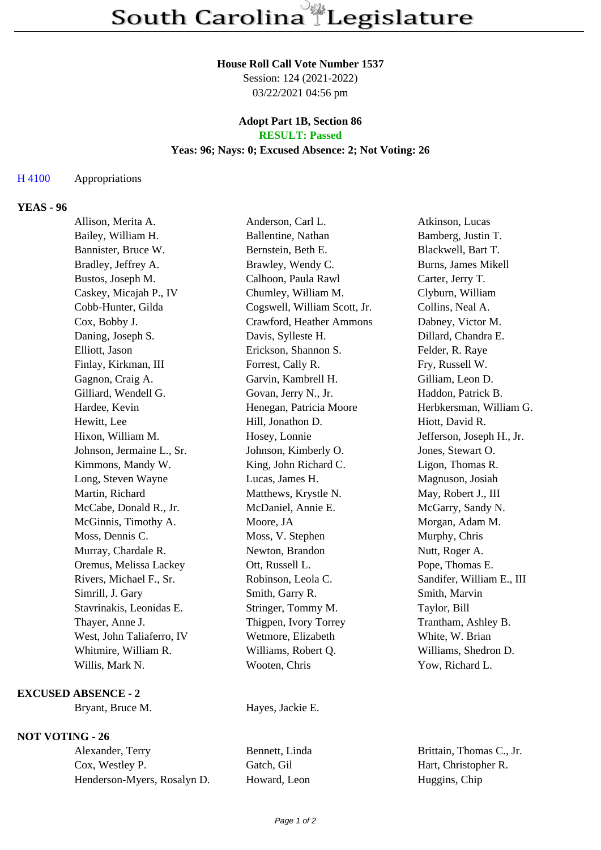#### **House Roll Call Vote Number 1537**

Session: 124 (2021-2022) 03/22/2021 04:56 pm

## **Adopt Part 1B, Section 86 RESULT: Passed**

## **Yeas: 96; Nays: 0; Excused Absence: 2; Not Voting: 26**

## H 4100 Appropriations

# **YEAS - 96**

| Allison, Merita A.        | Anderson, Carl L.            | Atkinson, Lucas           |
|---------------------------|------------------------------|---------------------------|
| Bailey, William H.        | Ballentine, Nathan           | Bamberg, Justin T.        |
| Bannister, Bruce W.       | Bernstein, Beth E.           | Blackwell, Bart T.        |
| Bradley, Jeffrey A.       | Brawley, Wendy C.            | Burns, James Mikell       |
| Bustos, Joseph M.         | Calhoon, Paula Rawl          | Carter, Jerry T.          |
| Caskey, Micajah P., IV    | Chumley, William M.          | Clyburn, William          |
| Cobb-Hunter, Gilda        | Cogswell, William Scott, Jr. | Collins, Neal A.          |
| Cox, Bobby J.             | Crawford, Heather Ammons     | Dabney, Victor M.         |
| Daning, Joseph S.         | Davis, Sylleste H.           | Dillard, Chandra E.       |
| Elliott, Jason            | Erickson, Shannon S.         | Felder, R. Raye           |
| Finlay, Kirkman, III      | Forrest, Cally R.            | Fry, Russell W.           |
| Gagnon, Craig A.          | Garvin, Kambrell H.          | Gilliam, Leon D.          |
| Gilliard, Wendell G.      | Govan, Jerry N., Jr.         | Haddon, Patrick B.        |
| Hardee, Kevin             | Henegan, Patricia Moore      | Herbkersman, William G.   |
| Hewitt, Lee               | Hill, Jonathon D.            | Hiott, David R.           |
| Hixon, William M.         | Hosey, Lonnie                | Jefferson, Joseph H., Jr. |
| Johnson, Jermaine L., Sr. | Johnson, Kimberly O.         | Jones, Stewart O.         |
| Kimmons, Mandy W.         | King, John Richard C.        | Ligon, Thomas R.          |
| Long, Steven Wayne        | Lucas, James H.              | Magnuson, Josiah          |
| Martin, Richard           | Matthews, Krystle N.         | May, Robert J., III       |
| McCabe, Donald R., Jr.    | McDaniel, Annie E.           | McGarry, Sandy N.         |
| McGinnis, Timothy A.      | Moore, JA                    | Morgan, Adam M.           |
| Moss, Dennis C.           | Moss, V. Stephen             | Murphy, Chris             |
| Murray, Chardale R.       | Newton, Brandon              | Nutt, Roger A.            |
| Oremus, Melissa Lackey    | Ott, Russell L.              | Pope, Thomas E.           |
| Rivers, Michael F., Sr.   | Robinson, Leola C.           | Sandifer, William E., III |
| Simrill, J. Gary          | Smith, Garry R.              | Smith, Marvin             |
| Stavrinakis, Leonidas E.  | Stringer, Tommy M.           | Taylor, Bill              |
| Thayer, Anne J.           | Thigpen, Ivory Torrey        | Trantham, Ashley B.       |
| West, John Taliaferro, IV | Wetmore, Elizabeth           | White, W. Brian           |
| Whitmire, William R.      | Williams, Robert Q.          | Williams, Shedron D.      |
| Willis, Mark N.           | Wooten, Chris                | Yow, Richard L.           |
|                           |                              |                           |

## **EXCUSED ABSENCE - 2**

Bryant, Bruce M. Hayes, Jackie E.

## **NOT VOTING - 26**

Alexander, Terry Bennett, Linda Brittain, Thomas C., Jr. Cox, Westley P. Gatch, Gil Hart, Christopher R. Henderson-Myers, Rosalyn D. Howard, Leon Huggins, Chip